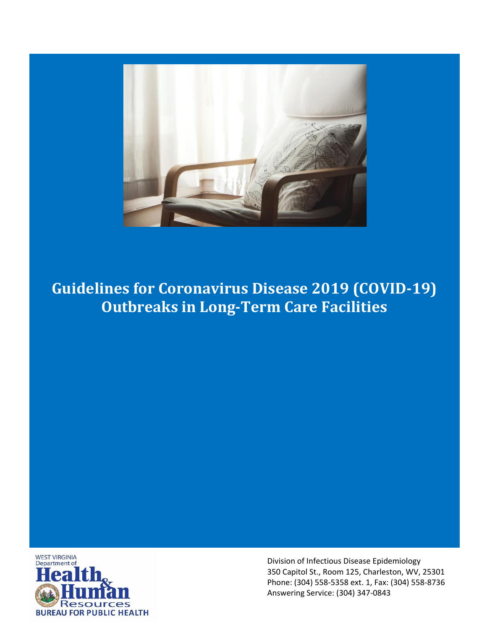

# **Guidelines for Coronavirus Disease 2019 (COVID-19) Outbreaks in Long-Term Care Facilities**



Division of Infectious Disease Epidemiology 350 Capitol St., Room 125, Charleston, WV, 25301 Phone: (304) 558-5358 ext. 1, Fax: (304) 558-8736 Answering Service: (304) 347-0843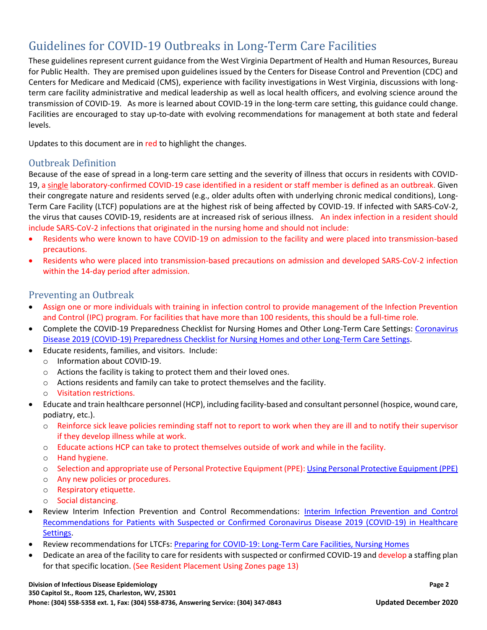These guidelines represent current guidance from the West Virginia Department of Health and Human Resources, Bureau for Public Health. They are premised upon guidelines issued by the Centers for Disease Control and Prevention (CDC) and Centers for Medicare and Medicaid (CMS), experience with facility investigations in West Virginia, discussions with longterm care facility administrative and medical leadership as well as local health officers, and evolving science around the transmission of COVID-19. As more is learned about COVID-19 in the long-term care setting, this guidance could change. Facilities are encouraged to stay up-to-date with evolving recommendations for management at both state and federal levels.

Updates to this document are in red to highlight the changes.

### <span id="page-2-0"></span>Outbreak Definition

Because of the ease of spread in a long-term care setting and the severity of illness that occurs in residents with COVID-19, a single laboratory-confirmed COVID-19 case identified in a resident or staff member is defined as an outbreak. Given their congregate nature and residents served (e.g., older adults often with underlying chronic medical conditions), Long-Term Care Facility (LTCF) populations are at the highest risk of being affected by COVID-19. If infected with SARS-CoV-2, the virus that causes COVID-19, residents are at increased risk of serious illness. An index infection in a resident should include SARS-CoV-2 infections that originated in the nursing home and should not include:

- Residents who were known to have COVID-19 on admission to the facility and were placed into transmission-based precautions.
- Residents who were placed into transmission-based precautions on admission and developed SARS-CoV-2 infection within the 14-day period after admission.

### <span id="page-2-1"></span>Preventing an Outbreak

- Assign one or more individuals with training in infection control to provide management of the Infection Prevention and Control (IPC) program. For facilities that have more than 100 residents, this should be a full-time role.
- Complete the COVID-19 Preparedness Checklist for Nursing Homes and Other Long-Term Care Settings: [Coronavirus](https://www.cdc.gov/coronavirus/2019-ncov/downloads/novel-coronavirus-2019-Nursing-Homes-Preparedness-Checklist_3_13.pdf)  [Disease 2019 \(COVID-19\) Preparedness Checklist for Nursing Homes and other Long-Term Care Settings.](https://www.cdc.gov/coronavirus/2019-ncov/downloads/novel-coronavirus-2019-Nursing-Homes-Preparedness-Checklist_3_13.pdf)
- Educate residents, families, and visitors. Include:
	- o Information about COVID-19.
	- o Actions the facility is taking to protect them and their loved ones.
	- $\circ$  Actions residents and family can take to protect themselves and the facility.
	- o Visitation restrictions.
- Educate and train healthcare personnel (HCP), including facility-based and consultant personnel (hospice, wound care, podiatry, etc.).
	- o Reinforce sick leave policies reminding staff not to report to work when they are ill and to notify their supervisor if they develop illness while at work.
	- o Educate actions HCP can take to protect themselves outside of work and while in the facility.
	- o Hand hygiene.
	- o Selection and appropriate use of Personal Protective Equipment (PPE): [Using Personal Protective Equipment \(PPE\)](https://www.cdc.gov/coronavirus/2019-ncov/hcp/using-ppe.html)
	- o Any new policies or procedures.
	- o Respiratory etiquette.
	- o Social distancing.
- Review Interim Infection Prevention and Control Recommendations: [Interim Infection Prevention and Control](https://www.cdc.gov/coronavirus/2019-ncov/infection-control/control-recommendations.html)  [Recommendations for Patients with Suspected or Confirmed Coronavirus Disease 2019 \(COVID-19\) in Healthcare](https://www.cdc.gov/coronavirus/2019-ncov/infection-control/control-recommendations.html)  [Settings.](https://www.cdc.gov/coronavirus/2019-ncov/infection-control/control-recommendations.html)
- Review recommendations for LTCFs: [Preparing for COVID-19: Long-Term Care Facilities, Nursing Homes](https://www.cdc.gov/coronavirus/2019-ncov/healthcare-facilities/prevent-spread-in-long-term-care-facilities.html)
- Dedicate an area of the facility to care for residents with suspected or confirmed COVID-19 and develop a staffing plan for that specific location. (See Resident Placement Using Zones page 13)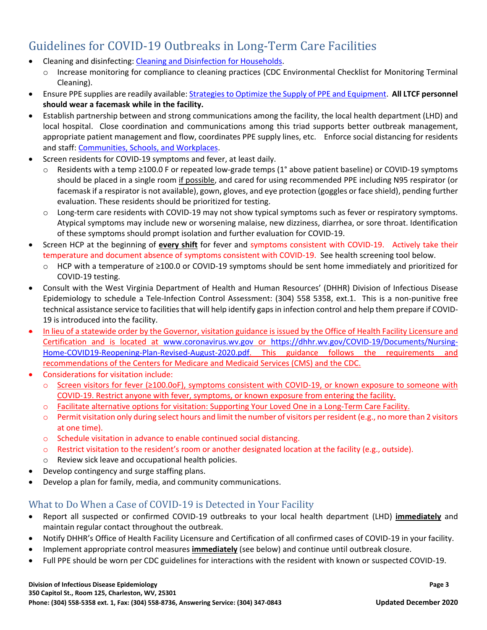- Cleaning and disinfecting: [Cleaning and Disinfection for Households.](https://www.cdc.gov/coronavirus/2019-ncov/prepare/cleaning-disinfection.html)
	- o Increase monitoring for compliance to cleaning practices (CDC Environmental Checklist for Monitoring Terminal Cleaning).
- Ensure PPE supplies are readily available: [Strategies to Optimize the Supply of PPE and Equipment.](https://www.cdc.gov/coronavirus/2019-ncov/hcp/ppe-strategy/index.html) **All LTCF personnel should wear a facemask while in the facility.**
- Establish partnership between and strong communications among the facility, the local health department (LHD) and local hospital. Close coordination and communications among this triad supports better outbreak management, appropriate patient management and flow, coordinates PPE supply lines, etc. Enforce social distancing for residents and staff[: Communities, Schools, and Workplaces.](https://www.cdc.gov/coronavirus/2019-ncov/community/index.html)
- Screen residents for COVID-19 symptoms and fever, at least daily.
	- o Residents with a temp ≥100.0 F or repeated low-grade temps (1° above patient baseline) or COVID-19 symptoms should be placed in a single room if possible, and cared for using recommended PPE including N95 respirator (or facemask if a respirator is not available), gown, gloves, and eye protection (goggles or face shield), pending further evaluation. These residents should be prioritized for testing.
	- o Long-term care residents with COVID-19 may not show typical symptoms such as fever or respiratory symptoms. Atypical symptoms may include new or worsening malaise, new dizziness, diarrhea, or sore throat. Identification of these symptoms should prompt isolation and further evaluation for COVID-19.
- Screen HCP at the beginning of **every shift** for fever and symptoms consistent with COVID-19. Actively take their temperature and document absence of symptoms consistent with COVID-19. See health screening tool below.
	- o HCP with a temperature of ≥100.0 or COVID-19 symptoms should be sent home immediately and prioritized for COVID-19 testing.
- Consult with the West Virginia Department of Health and Human Resources' (DHHR) Division of Infectious Disease Epidemiology to schedule a Tele-Infection Control Assessment: (304) 558 5358, ext.1. This is a non-punitive free technical assistance service to facilities that will help identify gaps in infection control and help them prepare if COVID-19 is introduced into the facility.
- In lieu of a statewide order by the Governor, visitation guidance is issued by the Office of Health Facility Licensure and Certification and is located at [www.coronavirus.wv.gov](http://www.coronavirus.wv.gov/) or [https://dhhr.wv.gov/COVID-19/Documents/Nursing-](https://dhhr.wv.gov/COVID-19/Documents/Nursing-Home-COVID19-Reopening-Plan-Revised-August-2020.pdf)[Home-COVID19-Reopening-Plan-Revised-August-2020.pdf.](https://dhhr.wv.gov/COVID-19/Documents/Nursing-Home-COVID19-Reopening-Plan-Revised-August-2020.pdf) This guidance follows the requirements and recommendations of the Centers for Medicare and Medicaid Services (CMS) and the CDC.
- Considerations for visitation include:
	- o Screen visitors for fever (≥100.0oF), symptoms consistent with COVID-19, or known exposure to someone with COVID-19. Restrict anyone with fever, symptoms, or known exposure from entering the facility.
	- o Facilitate alternative options for visitation: Supporting Your Loved One in a Long-Term Care Facility.
	- $\circ$  Permit visitation only during select hours and limit the number of visitors per resident (e.g., no more than 2 visitors at one time).
	- o Schedule visitation in advance to enable continued social distancing.
	- $\circ$  Restrict visitation to the resident's room or another designated location at the facility (e.g., outside).
	- o Review sick leave and occupational health policies.
- Develop contingency and surge staffing plans.
- Develop a plan for family, media, and community communications.

### <span id="page-3-0"></span>What to Do When a Case of COVID-19 is Detected in Your Facility

- Report all suspected or confirmed COVID-19 outbreaks to your local health department (LHD) **immediately** and maintain regular contact throughout the outbreak.
- Notify DHHR's Office of Health Facility Licensure and Certification of all confirmed cases of COVID-19 in your facility.
- Implement appropriate control measures **immediately** (see below) and continue until outbreak closure.
- Full PPE should be worn per CDC guidelines for interactions with the resident with known or suspected COVID-19.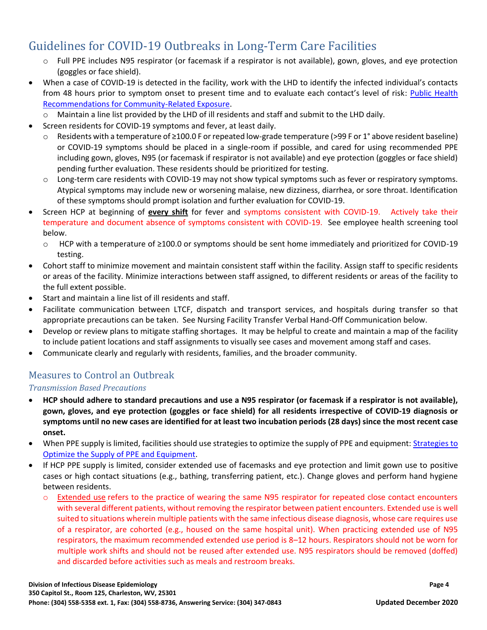- o Full PPE includes N95 respirator (or facemask if a respirator is not available), gown, gloves, and eye protection (goggles or face shield).
- When a case of COVID-19 is detected in the facility, work with the LHD to identify the infected individual's contacts from 48 hours prior to symptom onset to present time and to evaluate each contact's level of risk: [Public Health](https://www.cdc.gov/coronavirus/2019-ncov/php/public-health-recommendations.html)  [Recommendations for Community-Related Exposure.](https://www.cdc.gov/coronavirus/2019-ncov/php/public-health-recommendations.html)

o Maintain a line list provided by the LHD of ill residents and staff and submit to the LHD daily.

- Screen residents for COVID-19 symptoms and fever, at least daily.
	- o Residents with a temperature of ≥100.0 F or repeated low-grade temperature (>99 F or 1° above resident baseline) or COVID-19 symptoms should be placed in a single-room if possible, and cared for using recommended PPE including gown, gloves, N95 (or facemask if respirator is not available) and eye protection (goggles or face shield) pending further evaluation. These residents should be prioritized for testing.
	- o Long-term care residents with COVID-19 may not show typical symptoms such as fever or respiratory symptoms. Atypical symptoms may include new or worsening malaise, new dizziness, diarrhea, or sore throat. Identification of these symptoms should prompt isolation and further evaluation for COVID-19.
- Screen HCP at beginning of **every shift** for fever and symptoms consistent with COVID-19. Actively take their temperature and document absence of symptoms consistent with COVID-19. See employee health screening tool below.
	- o HCP with a temperature of ≥100.0 or symptoms should be sent home immediately and prioritized for COVID-19 testing.
- Cohort staff to minimize movement and maintain consistent staff within the facility. Assign staff to specific residents or areas of the facility. Minimize interactions between staff assigned, to different residents or areas of the facility to the full extent possible.
- Start and maintain a line list of ill residents and staff.
- Facilitate communication between LTCF, dispatch and transport services, and hospitals during transfer so that appropriate precautions can be taken. See Nursing Facility Transfer Verbal Hand-Off Communication below.
- Develop or review plans to mitigate staffing shortages. It may be helpful to create and maintain a map of the facility to include patient locations and staff assignments to visually see cases and movement among staff and cases.
- Communicate clearly and regularly with residents, families, and the broader community.

### <span id="page-4-0"></span>Measures to Control an Outbreak

#### *Transmission Based Precautions*

- **HCP should adhere to standard precautions and use a N95 respirator (or facemask if a respirator is not available), gown, gloves, and eye protection (goggles or face shield) for all residents irrespective of COVID-19 diagnosis or symptoms until no new cases are identified for at least two incubation periods (28 days) since the most recent case onset.**
- When PPE supply is limited, facilities should use strategies to optimize the supply of PPE and equipment: Strategies to [Optimize the Supply of PPE and Equipment.](https://www.cdc.gov/coronavirus/2019-ncov/hcp/ppe-strategy/index.html)
- If HCP PPE supply is limited, consider extended use of facemasks and eye protection and limit gown use to positive cases or high contact situations (e.g., bathing, transferring patient, etc.). Change gloves and perform hand hygiene between residents.
	- o [Extended use](https://www.cdc.gov/niosh/topics/hcwcontrols/recommendedguidanceextuse.html) refers to the practice of wearing the same N95 respirator for repeated close contact encounters with several different patients, without removing the respirator between patient encounters. Extended use is well suited to situations wherein multiple patients with the same infectious disease diagnosis, whose care requires use of a respirator, are cohorted (e.g., housed on the same hospital unit). When practicing extended use of N95 respirators, the maximum recommended extended use period is 8–12 hours. Respirators should not be worn for multiple work shifts and should not be reused after extended use. N95 respirators should be removed (doffed) and discarded before activities such as meals and restroom breaks.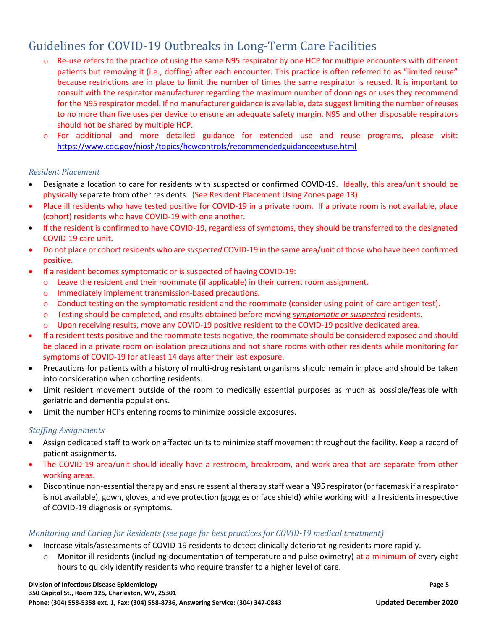- [Re-use](https://www.cdc.gov/niosh/topics/hcwcontrols/recommendedguidanceextuse.html) refers to the practice of using the same N95 respirator by one HCP for multiple encounters with different patients but removing it (i.e., doffing) after each encounter. This practice is often referred to as "limited reuse" because restrictions are in place to limit the number of times the same respirator is reused. It is important to consult with the respirator manufacturer regarding the maximum number of donnings or uses they recommend for the N95 respirator model. If no manufacturer guidance is available, data suggest limiting the number of reuses to no more than five uses per device to ensure an adequate safety margin. N95 and other disposable respirators should not be shared by multiple HCP.
- o For additional and more detailed guidance for extended use and reuse programs, please visit: <https://www.cdc.gov/niosh/topics/hcwcontrols/recommendedguidanceextuse.html>

#### *Resident Placement*

- Designate a location to care for residents with suspected or confirmed COVID-19. Ideally, this area/unit should be physically separate from other residents. (See Resident Placement Using Zones page 13)
- Place ill residents who have tested positive for COVID-19 in a private room. If a private room is not available, place (cohort) residents who have COVID-19 with one another.
- If the resident is confirmed to have COVID-19, regardless of symptoms, they should be transferred to the designated COVID-19 care unit.
- Do not place or cohort residents who are *suspected* COVID-19 in the same area/unit of those who have been confirmed positive.
- If a resident becomes symptomatic or is suspected of having COVID-19:
	- o Leave the resident and their roommate (if applicable) in their current room assignment.
	- o Immediately implement transmission-based precautions.
	- o Conduct testing on the symptomatic resident and the roommate (consider using point-of-care antigen test).
	- o Testing should be completed, and results obtained before moving *symptomatic or suspected* residents.
	- o Upon receiving results, move any COVID-19 positive resident to the COVID-19 positive dedicated area.
- If a resident tests positive and the roommate tests negative, the roommate should be considered exposed and should be placed in a private room on isolation precautions and not share rooms with other residents while monitoring for symptoms of COVID-19 for at least 14 days after their last exposure.
- Precautions for patients with a history of multi-drug resistant organisms should remain in place and should be taken into consideration when cohorting residents.
- Limit resident movement outside of the room to medically essential purposes as much as possible/feasible with geriatric and dementia populations.
- Limit the number HCPs entering rooms to minimize possible exposures.

#### *Staffing Assignments*

- Assign dedicated staff to work on affected units to minimize staff movement throughout the facility. Keep a record of patient assignments.
- The COVID-19 area/unit should ideally have a restroom, breakroom, and work area that are separate from other working areas.
- Discontinue non-essential therapy and ensure essential therapy staff wear a N95 respirator (or facemask if a respirator is not available), gown, gloves, and eye protection (goggles or face shield) while working with all residents irrespective of COVID-19 diagnosis or symptoms.

#### *Monitoring and Caring for Residents (see page for best practices for COVID-19 medical treatment)*

- Increase vitals/assessments of COVID-19 residents to detect clinically deteriorating residents more rapidly.
	- $\circ$  Monitor ill residents (including documentation of temperature and pulse oximetry) at a minimum of every eight hours to quickly identify residents who require transfer to a higher level of care.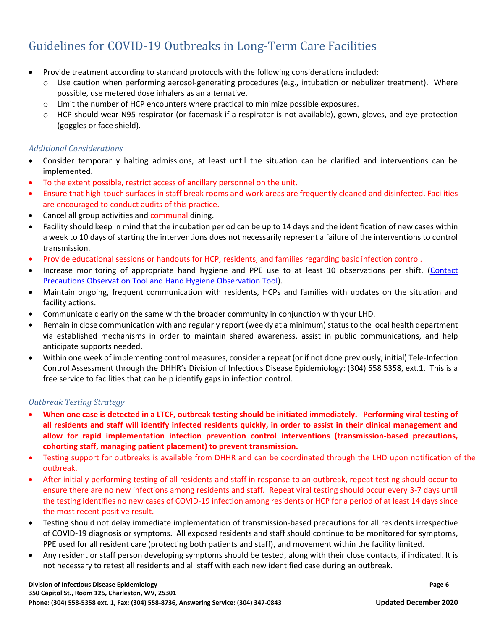- Provide treatment according to standard protocols with the following considerations included:
	- o Use caution when performing aerosol-generating procedures (e.g., intubation or nebulizer treatment). Where possible, use metered dose inhalers as an alternative.
	- o Limit the number of HCP encounters where practical to minimize possible exposures.
	- $\circ$  HCP should wear N95 respirator (or facemask if a respirator is not available), gown, gloves, and eye protection (goggles or face shield).

#### *Additional Considerations*

- Consider temporarily halting admissions, at least until the situation can be clarified and interventions can be implemented.
- To the extent possible, restrict access of ancillary personnel on the unit.
- Ensure that high-touch surfaces in staff break rooms and work areas are frequently cleaned and disinfected. Facilities are encouraged to conduct audits of this practice.
- Cancel all group activities and communal dining.
- Facility should keep in mind that the incubation period can be up to 14 days and the identification of new cases within a week to 10 days of starting the interventions does not necessarily represent a failure of the interventions to control transmission.
- Provide educational sessions or handouts for HCP, residents, and families regarding basic infection control.
- Increase monitoring of appropriate hand hygiene and PPE use to at least 10 observations per shift. (Contact [Precautions Observation Tool and](https://oeps.wv.gov/toolkits/Pages/toolkits_covid.aspx) Hand Hygiene Observation Tool).
- Maintain ongoing, frequent communication with residents, HCPs and families with updates on the situation and facility actions.
- Communicate clearly on the same with the broader community in conjunction with your LHD.
- Remain in close communication with and regularly report (weekly at a minimum) status to the local health department via established mechanisms in order to maintain shared awareness, assist in public communications, and help anticipate supports needed.
- Within one week of implementing control measures, consider a repeat (or if not done previously, initial) Tele-Infection Control Assessment through the DHHR's Division of Infectious Disease Epidemiology: (304) 558 5358, ext.1. This is a free service to facilities that can help identify gaps in infection control.

#### *Outbreak Testing Strategy*

- **When one case is detected in a LTCF, outbreak testing should be initiated immediately. Performing viral testing of all residents and staff will identify infected residents quickly, in order to assist in their clinical management and allow for rapid implementation infection prevention control interventions (transmission-based precautions, cohorting staff, managing patient placement) to prevent transmission.**
- Testing support for outbreaks is available from DHHR and can be coordinated through the LHD upon notification of the outbreak.
- After initially performing testing of all residents and staff in response to an outbreak, repeat testing should occur to ensure there are no new infections among residents and staff. Repeat viral testing should occur every 3-7 days until the testing identifies no new cases of COVID-19 infection among residents or HCP for a period of at least 14 days since the most recent positive result.
- Testing should not delay immediate implementation of transmission-based precautions for all residents irrespective of COVID-19 diagnosis or symptoms. All exposed residents and staff should continue to be monitored for symptoms, PPE used for all resident care (protecting both patients and staff), and movement within the facility limited.
- Any resident or staff person developing symptoms should be tested, along with their close contacts, if indicated. It is not necessary to retest all residents and all staff with each new identified case during an outbreak.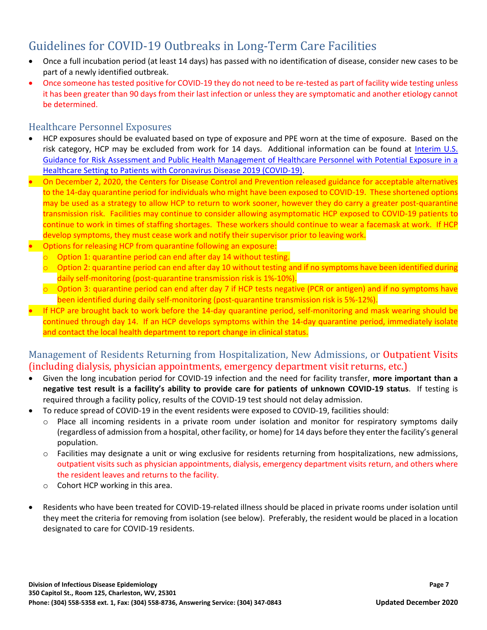- Once a full incubation period (at least 14 days) has passed with no identification of disease, consider new cases to be part of a newly identified outbreak.
- Once someone has tested positive for COVID-19 they do not need to be re-tested as part of facility wide testing unless it has been greater than 90 days from their last infection or unless they are symptomatic and another etiology cannot be determined.

### <span id="page-7-0"></span>Healthcare Personnel Exposures

- HCP exposures should be evaluated based on type of exposure and PPE worn at the time of exposure. Based on the risk category, HCP may be excluded from work for 14 days. Additional information can be found at [Interim U.S.](https://www.cdc.gov/coronavirus/2019-ncov/hcp/guidance-risk-assesment-hcp.html)  [Guidance for Risk Assessment and Public Health Management of Healthcare Personnel with Potential Exposure in a](https://www.cdc.gov/coronavirus/2019-ncov/hcp/guidance-risk-assesment-hcp.html)  [Healthcare Setting to Patients with Coronavirus Disease 2019 \(COVID-19\).](https://www.cdc.gov/coronavirus/2019-ncov/hcp/guidance-risk-assesment-hcp.html)
- On December 2, 2020, the Centers for Disease Control and Prevention released guidance for acceptable alternatives to the 14-day quarantine period for individuals who might have been exposed to COVID-19. These shortened options may be used as a strategy to allow HCP to return to work sooner, however they do carry a greater post-quarantine transmission risk. Facilities may continue to consider allowing asymptomatic HCP exposed to COVID-19 patients to continue to work in times of staffing shortages. These workers should continue to wear a facemask at work. If HCP develop symptoms, they must cease work and notify their supervisor prior to leaving work.
- Options for releasing HCP from quarantine following an exposure:
	- $\circ$  Option 1: quarantine period can end after day 14 without testing.
	- $\circ$  Option 2: quarantine period can end after day 10 without testing and if no symptoms have been identified during daily self-monitoring (post-quarantine transmission risk is 1%-10%).
	- $\circ$  Option 3: quarantine period can end after day 7 if HCP tests negative (PCR or antigen) and if no symptoms have been identified during daily self-monitoring (post-quarantine transmission risk is 5%-12%).
- If HCP are brought back to work before the 14-day quarantine period, self-monitoring and mask wearing should be continued through day 14. If an HCP develops symptoms within the 14-day quarantine period, immediately isolate and contact the local health department to report change in clinical status.

### <span id="page-7-1"></span>Management of Residents Returning from Hospitalization, New Admissions, or Outpatient Visits (including dialysis, physician appointments, emergency department visit returns, etc.)

- Given the long incubation period for COVID-19 infection and the need for facility transfer, **more important than a negative test result is a facility's ability to provide care for patients of unknown COVID-19 status**. If testing is required through a facility policy, results of the COVID-19 test should not delay admission.
- To reduce spread of COVID-19 in the event residents were exposed to COVID-19, facilities should:
	- Place all incoming residents in a private room under isolation and monitor for respiratory symptoms daily (regardless of admission from a hospital, other facility, or home) for 14 days before they enter the facility's general population.
	- o Facilities may designate a unit or wing exclusive for residents returning from hospitalizations, new admissions, outpatient visits such as physician appointments, dialysis, emergency department visits return, and others where the resident leaves and returns to the facility.
	- o Cohort HCP working in this area.
- Residents who have been treated for COVID-19-related illness should be placed in private rooms under isolation until they meet the criteria for removing from isolation (see below). Preferably, the resident would be placed in a location designated to care for COVID-19 residents.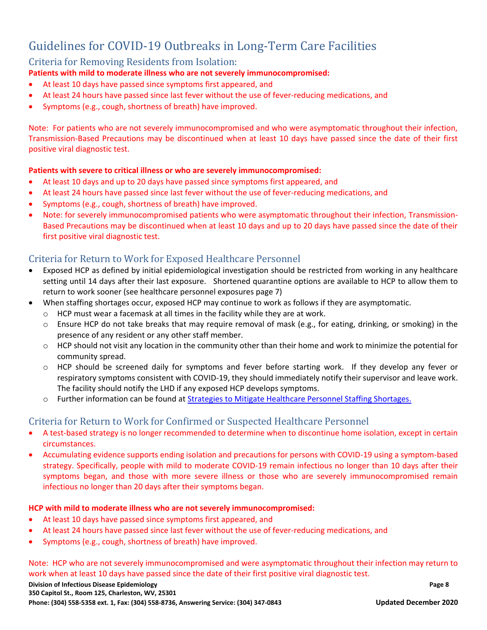### <span id="page-8-0"></span>Criteria for Removing Residents from Isolation:

#### **Patients with mild to moderate illness who are not severely immunocompromised:**

- At least 10 days have passed since symptoms first appeared, and
- At least 24 hours have passed since last fever without the use of fever-reducing medications, and
- Symptoms (e.g., cough, shortness of breath) have improved.

Note: For patients who are not severely immunocompromised and who were asymptomatic throughout their infection, Transmission-Based Precautions may be discontinued when at least 10 days have passed since the date of their first positive viral diagnostic test.

#### **Patients with severe to critical illness or who are severely immunocompromised:**

- At least 10 days and up to 20 days have passed since symptoms first appeared, and
- At least 24 hours have passed since last fever without the use of fever-reducing medications, and
- Symptoms (e.g., cough, shortness of breath) have improved.
- Note: for severely immunocompromised patients who were asymptomatic throughout their infection, Transmission-Based Precautions may be discontinued when at least 10 days and up to 20 days have passed since the date of their first positive viral diagnostic test.

### <span id="page-8-1"></span>Criteria for Return to Work for Exposed Healthcare Personnel

- Exposed HCP as defined by initial epidemiological investigation should be restricted from working in any healthcare setting until 14 days after their last exposure. Shortened quarantine options are available to HCP to allow them to return to work sooner (see healthcare personnel exposures page 7)
- When staffing shortages occur, exposed HCP may continue to work as follows if they are asymptomatic.
	- o HCP must wear a facemask at all times in the facility while they are at work.
	- o Ensure HCP do not take breaks that may require removal of mask (e.g., for eating, drinking, or smoking) in the presence of any resident or any other staff member.
	- o HCP should not visit any location in the community other than their home and work to minimize the potential for community spread.
	- o HCP should be screened daily for symptoms and fever before starting work. If they develop any fever or respiratory symptoms consistent with COVID-19, they should immediately notify their supervisor and leave work. The facility should notify the LHD if any exposed HCP develops symptoms.
	- o Further information can be found at Strategies to [Mitigate Healthcare Personnel Staffing Shortages.](https://www.cdc.gov/coronavirus/2019-ncov/hcp/mitigating-staff-shortages.html)

#### <span id="page-8-2"></span>Criteria for Return to Work for Confirmed or Suspected Healthcare Personnel

- A test-based strategy is no longer recommended to determine when to discontinue home isolation, except in certain circumstances.
- Accumulating evidence supports ending isolation and precautions for persons with COVID-19 using a symptom-based strategy. Specifically, people with mild to moderate COVID-19 remain infectious no longer than 10 days after their symptoms began, and those with more severe illness or those who are severely immunocompromised remain infectious no longer than 20 days after their symptoms began.

#### **HCP with mild to moderate illness who are not severely immunocompromised:**

- At least 10 days have passed since symptoms first appeared, and
- At least 24 hours have passed since last fever without the use of fever-reducing medications, and
- Symptoms (e.g., cough, shortness of breath) have improved.

Note: HCP who are not severely immunocompromised and were asymptomatic throughout their infection may return to work when at least 10 days have passed since the date of their first positive viral diagnostic test.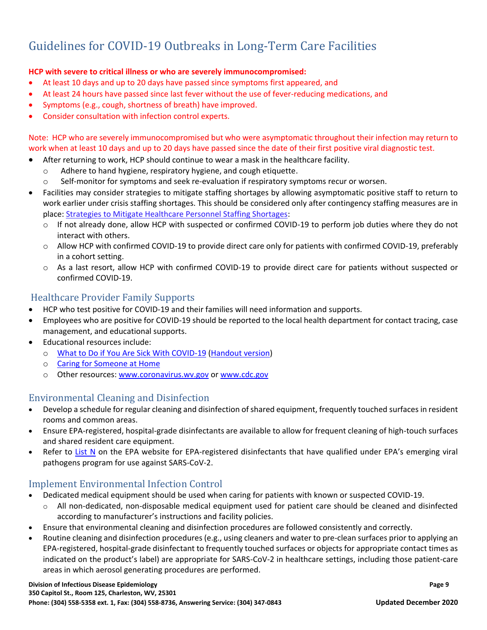#### **HCP with severe to critical illness or who are severely immunocompromised:**

- At least 10 days and up to 20 days have passed since symptoms first appeared, and
- At least 24 hours have passed since last fever without the use of fever-reducing medications, and
- Symptoms (e.g., cough, shortness of breath) have improved.
- Consider consultation with infection control experts.

Note: HCP who are severely immunocompromised but who were asymptomatic throughout their infection may return to work when at least 10 days and up to 20 days have passed since the date of their first positive viral diagnostic test.

- After returning to work, HCP should continue to wear a mask in the healthcare facility.
	- o Adhere to hand hygiene, respiratory hygiene, and cough etiquette.
	- o Self-monitor for symptoms and seek re-evaluation if respiratory symptoms recur or worsen.
- Facilities may consider strategies to mitigate staffing shortages by allowing asymptomatic positive staff to return to work earlier under crisis staffing shortages. This should be considered only after contingency staffing measures are in place: [Strategies to Mitigate Healthcare Personnel Staffing Shortages:](https://www.cdc.gov/coronavirus/2019-ncov/hcp/mitigating-staff-shortages.html)
	- o If not already done, allow HCP with suspected or confirmed COVID-19 to perform job duties where they do not interact with others.
	- o Allow HCP with confirmed COVID-19 to provide direct care only for patients with confirmed COVID-19, preferably in a cohort setting.
	- o As a last resort, allow HCP with confirmed COVID-19 to provide direct care for patients without suspected or confirmed COVID-19.

### <span id="page-9-0"></span>Healthcare Provider Family Supports

- HCP who test positive for COVID-19 and their families will need information and supports.
- Employees who are positive for COVID-19 should be reported to the local health department for contact tracing, case management, and educational supports.
- Educational resources include:
	- o [What to Do if You Are Sick With COVID-19](https://www.cdc.gov/coronavirus/2019-ncov/if-you-are-sick/steps-when-sick.html) [\(Handout version\)](https://www.cdc.gov/coronavirus/2019-ncov/downloads/sick-with-2019-nCoV-fact-sheet.pdf)
	- o [Caring for Someone at Home](https://www.cdc.gov/coronavirus/2019-ncov/if-you-are-sick/care-for-someone.html)
	- o Other resources: [www.coronavirus.wv.gov](http://www.coronavirus.wv.gov/) or [www.cdc.gov](http://www.cdc.gov/)

### <span id="page-9-1"></span>Environmental Cleaning and Disinfection

- Develop a schedule for regular cleaning and disinfection of shared equipment, frequently touched surfaces in resident rooms and common areas.
- Ensure EPA-registered, hospital-grade disinfectants are available to allow for frequent cleaning of high-touch surfaces and shared resident care equipment.
- Refer to [List N](https://www.epa.gov/pesticide-registration/list-n-advanced-search-page-disinfectants-coronavirus-covid-19#:~:text=List%20N%20Advanced%20Search%20Page%3A%20Disinfectants%20for%20Coronavirus,%20%2010%2F01%2F2020%20%204%20more%20rows%20) on the EPA website for EPA-registered disinfectants that have qualified under EPA's emerging viral pathogens program for use against SARS-CoV-2.

### <span id="page-9-2"></span>Implement Environmental Infection Control

- Dedicated medical equipment should be used when caring for patients with known or suspected COVID-19.
	- o All non-dedicated, non-disposable medical equipment used for patient care should be cleaned and disinfected according to manufacturer's instructions and facility policies.
- Ensure that environmental cleaning and disinfection procedures are followed consistently and correctly.
- Routine cleaning and disinfection procedures (e.g., using cleaners and water to pre-clean surfaces prior to applying an EPA-registered, hospital-grade disinfectant to frequently touched surfaces or objects for appropriate contact times as indicated on the product's label) are appropriate for SARS-CoV-2 in healthcare settings, including those patient-care areas in which aerosol generating procedures are performed.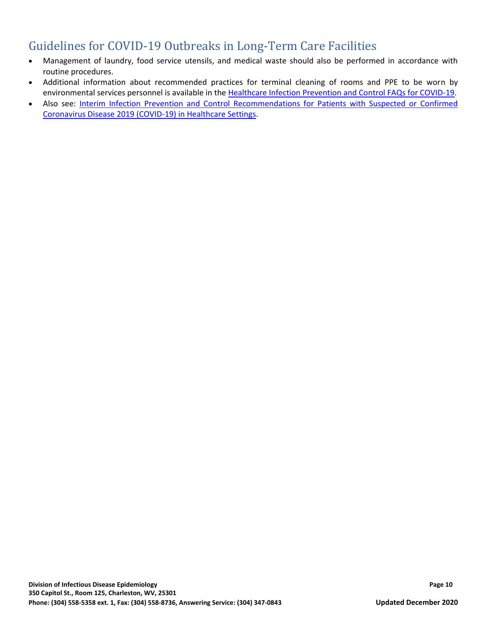- Management of laundry, food service utensils, and medical waste should also be performed in accordance with routine procedures.
- Additional information about recommended practices for terminal cleaning of rooms and PPE to be worn by environmental services personnel is available in the [Healthcare Infection Prevention and Control FAQs for COVID-19.](https://www.cdc.gov/coronavirus/2019-ncov/hcp/infection-control-faq.html?CDC_AA_refVal=https%3A%2F%2Fwww.cdc.gov%2Fcoronavirus%2F2019-ncov%2Finfection-control%2Finfection-prevention-control-faq.html)
- Also see: Interim Infection [Prevention and Control Recommendations for Patients with Suspected or Confirmed](https://www.cdc.gov/coronavirus/2019-ncov/hcp/infection-control-recommendations.html?CDC_AA_refVal=https%3A%2F%2Fwww.cdc.gov%2Fcoronavirus%2F2019-ncov%2Finfection-control%2Fcontrol-recommendations.html#infection_control)  [Coronavirus Disease 2019 \(COVID-19\) in Healthcare Settings.](https://www.cdc.gov/coronavirus/2019-ncov/hcp/infection-control-recommendations.html?CDC_AA_refVal=https%3A%2F%2Fwww.cdc.gov%2Fcoronavirus%2F2019-ncov%2Finfection-control%2Fcontrol-recommendations.html#infection_control)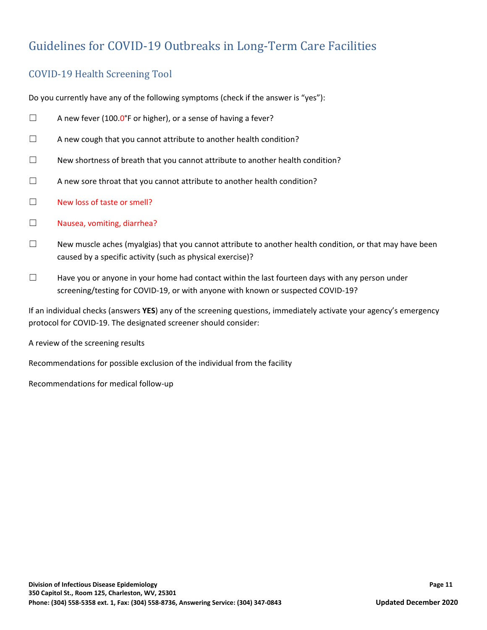### <span id="page-11-0"></span>COVID-19 Health Screening Tool

Do you currently have any of the following symptoms (check if the answer is "yes"):

- $\Box$  A new fever (100.0°F or higher), or a sense of having a fever?
- ☐ A new cough that you cannot attribute to another health condition?
- $\Box$  New shortness of breath that you cannot attribute to another health condition?
- $\Box$  A new sore throat that you cannot attribute to another health condition?
- ☐ New loss of taste or smell?
- ☐ Nausea, vomiting, diarrhea?
- $\Box$  New muscle aches (myalgias) that you cannot attribute to another health condition, or that may have been caused by a specific activity (such as physical exercise)?
- $\Box$  Have you or anyone in your home had contact within the last fourteen days with any person under screening/testing for COVID-19, or with anyone with known or suspected COVID-19?

If an individual checks (answers **YES**) any of the screening questions, immediately activate your agency's emergency protocol for COVID-19. The designated screener should consider:

A review of the screening results

Recommendations for possible exclusion of the individual from the facility

Recommendations for medical follow-up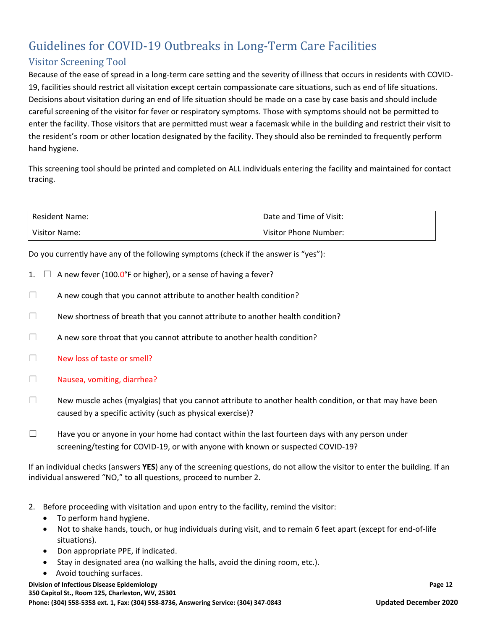### <span id="page-12-0"></span>Visitor Screening Tool

Because of the ease of spread in a long-term care setting and the severity of illness that occurs in residents with COVID-19, facilities should restrict all visitation except certain compassionate care situations, such as end of life situations. Decisions about visitation during an end of life situation should be made on a case by case basis and should include careful screening of the visitor for fever or respiratory symptoms. Those with symptoms should not be permitted to enter the facility. Those visitors that are permitted must wear a facemask while in the building and restrict their visit to the resident's room or other location designated by the facility. They should also be reminded to frequently perform hand hygiene.

This screening tool should be printed and completed on ALL individuals entering the facility and maintained for contact tracing.

| <b>Resident Name:</b> | Date and Time of Visit: |
|-----------------------|-------------------------|
| Visitor Name:         | Visitor Phone Number:   |

Do you currently have any of the following symptoms (check if the answer is "yes"):

- 1.  $\Box$  A new fever (100.0°F or higher), or a sense of having a fever?
- $\Box$  A new cough that you cannot attribute to another health condition?
- $\Box$  New shortness of breath that you cannot attribute to another health condition?
- $\Box$  A new sore throat that you cannot attribute to another health condition?
- ☐ New loss of taste or smell?
- ☐ Nausea, vomiting, diarrhea?
- $\Box$  New muscle aches (myalgias) that you cannot attribute to another health condition, or that may have been caused by a specific activity (such as physical exercise)?
- $\square$  Have you or anyone in your home had contact within the last fourteen days with any person under screening/testing for COVID-19, or with anyone with known or suspected COVID-19?

If an individual checks (answers **YES**) any of the screening questions, do not allow the visitor to enter the building. If an individual answered "NO," to all questions, proceed to number 2.

- 2. Before proceeding with visitation and upon entry to the facility, remind the visitor:
	- To perform hand hygiene.
	- Not to shake hands, touch, or hug individuals during visit, and to remain 6 feet apart (except for end-of-life situations).
	- Don appropriate PPE, if indicated.
	- Stay in designated area (no walking the halls, avoid the dining room, etc.).
	- Avoid touching surfaces.

**Division of Infectious Disease Epidemiology Page 12 350 Capitol St., Room 125, Charleston, WV, 25301 Phone: (304) 558-5358 ext. 1, Fax: (304) 558-8736, Answering Service: (304) 347-0843 Updated December 2020**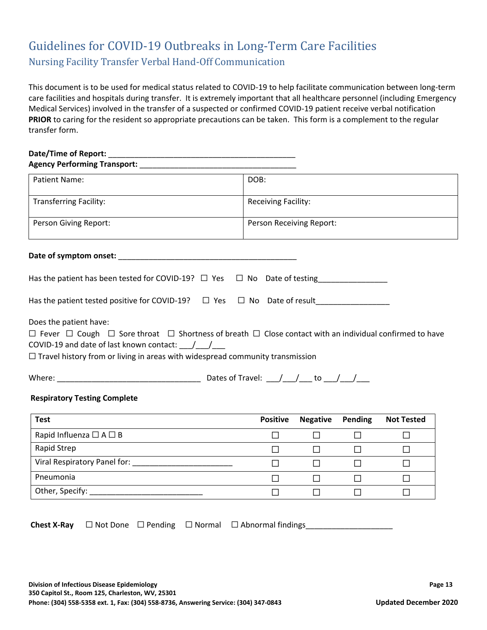## <span id="page-13-0"></span>Guidelines for COVID-19 Outbreaks in Long-Term Care Facilities Nursing Facility Transfer Verbal Hand-Off Communication

This document is to be used for medical status related to COVID-19 to help facilitate communication between long-term care facilities and hospitals during transfer. It is extremely important that all healthcare personnel (including Emergency Medical Services) involved in the transfer of a suspected or confirmed COVID-19 patient receive verbal notification **PRIOR** to caring for the resident so appropriate precautions can be taken. This form is a complement to the regular transfer form.

#### **Date/Time of Report:** \_\_\_\_\_\_\_\_\_\_\_\_\_\_\_\_\_\_\_\_\_\_\_\_\_\_\_\_\_\_\_\_\_\_\_\_\_\_\_\_\_\_\_ **Agency Performing Transport:** \_\_\_\_\_\_\_\_\_\_\_\_\_\_\_\_\_\_\_\_\_\_\_\_\_\_\_\_\_\_\_\_\_\_\_\_

| <b>Patient Name:</b>          | DOB:                       |
|-------------------------------|----------------------------|
| <b>Transferring Facility:</b> | <b>Receiving Facility:</b> |
| Person Giving Report:         | Person Receiving Report:   |

#### **Date of symptom onset:** \_\_\_\_\_\_\_\_\_\_\_\_\_\_\_\_\_\_\_\_\_\_\_\_\_\_\_\_\_\_\_\_\_\_\_\_\_\_\_\_\_

| Has the patient has been tested for COVID-19? $\Box$ Yes $\Box$ No Date of testing |  |  |
|------------------------------------------------------------------------------------|--|--|
| Has the patient tested positive for COVID-19? $\Box$ Yes $\Box$ No Date of result  |  |  |

Does the patient have:

|  |                                                               |  |  | $\Box$ Fever $\Box$ Cough $\Box$ Sore throat $\Box$ Shortness of breath $\Box$ Close contact with an individual confirmed to have |
|--|---------------------------------------------------------------|--|--|-----------------------------------------------------------------------------------------------------------------------------------|
|  | COVID-19 and date of last known contact: $\frac{1}{\sqrt{2}}$ |  |  |                                                                                                                                   |

 $\Box$  Travel history from or living in areas with widespread community transmission

| Where:<br>Dates of<br>ravel: |  |
|------------------------------|--|
|------------------------------|--|

#### **Respiratory Testing Complete**

| <b>Test</b>                     | <b>Positive</b> | <b>Negative</b> | Pending | <b>Not Tested</b> |
|---------------------------------|-----------------|-----------------|---------|-------------------|
| Rapid Influenza $\Box A \Box B$ |                 |                 |         |                   |
| Rapid Strep                     |                 |                 |         |                   |
| Viral Respiratory Panel for:    |                 |                 |         |                   |
| Pneumonia                       |                 |                 |         |                   |
| Other, Specify:                 |                 |                 |         |                   |

Chest X-Ray □ Not Done □ Pending □ Normal □ Abnormal findings\_\_\_\_\_\_\_\_\_\_\_\_\_\_\_\_\_\_\_